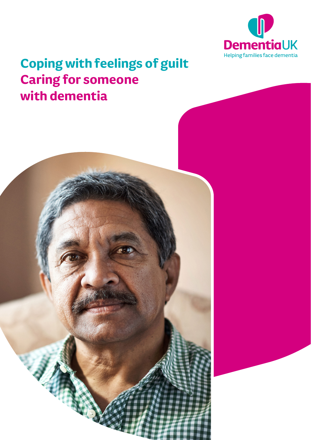

## **Coping with feelings of guilt Caring for someone with dementia**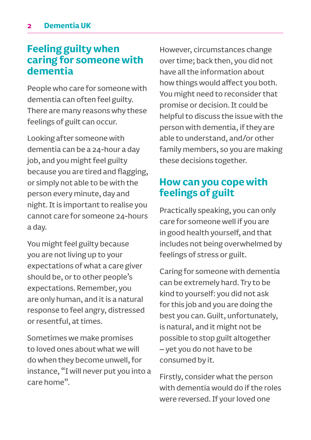## **Feeling guilty when caring for someone with dementia**

People who care for someone with dementia can often feel guilty. There are many reasons why these feelings of guilt can occur.

Looking after someone with dementia can be a 24-hour a day job, and you might feel guilty because you are tired and flagging, or simply not able to be with the person every minute, day and night. It is important to realise you cannot care for someone 24-hours a day.

You might feel guilty because you are not living up to your expectations of what a care giver should be, or to other people's expectations. Remember, you are only human, and it is a natural response to feel angry, distressed or resentful, at times.

Sometimes we make promises to loved ones about what we will do when they become unwell, for instance, "I will never put you into a care home".

However, circumstances change over time; back then, you did not have all the information about how things would affect you both. You might need to reconsider that promise or decision. It could be helpful to discuss the issue with the person with dementia, if they are able to understand, and/or other family members, so you are making these decisions together.

## **How can you cope with feelings of guilt**

Practically speaking, you can only care for someone well if you are in good health yourself, and that includes not being overwhelmed by feelings of stress or guilt.

Caring for someone with dementia can be extremely hard. Try to be kind to yourself: you did not ask for this job and you are doing the best you can. Guilt, unfortunately, is natural, and it might not be possible to stop guilt altogether – yet you do not have to be consumed by it.

Firstly, consider what the person with dementia would do if the roles were reversed. If your loved one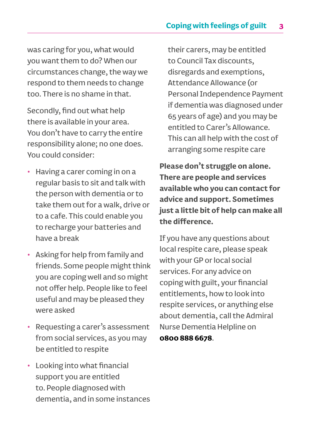was caring for you, what would you want them to do? When our circumstances change, the way we respond to them needs to change too. There is no shame in that.

Secondly, find out what help there is available in your area. You don't have to carry the entire responsibility alone; no one does. You could consider:

- Having a carer coming in on a regular basis to sit and talk with the person with dementia or to take them out for a walk, drive or to a cafe. This could enable you to recharge your batteries and have a break
- Asking for help from family and friends. Some people might think you are coping well and so might not offer help. People like to feel useful and may be pleased they were asked
- Requesting a carer's assessment from social services, as you may be entitled to respite
- Looking into what financial support you are entitled to. People diagnosed with dementia, and in some instances

their carers, may be entitled to Council Tax discounts, disregards and exemptions, Attendance Allowance (or Personal Independence Payment if dementia was diagnosed under 65 years of age) and you may be entitled to Carer's Allowance. This can all help with the cost of arranging some respite care

**Please don't struggle on alone. There are people and services available who you can contact for advice and support. Sometimes just a little bit of help can make all the difference.**

If you have any questions about local respite care, please speak with your GP or local social services. For any advice on coping with guilt, your financial entitlements, how to look into respite services, or anything else about dementia, call the Admiral Nurse Dementia Helpline on **0800 888 6678**.